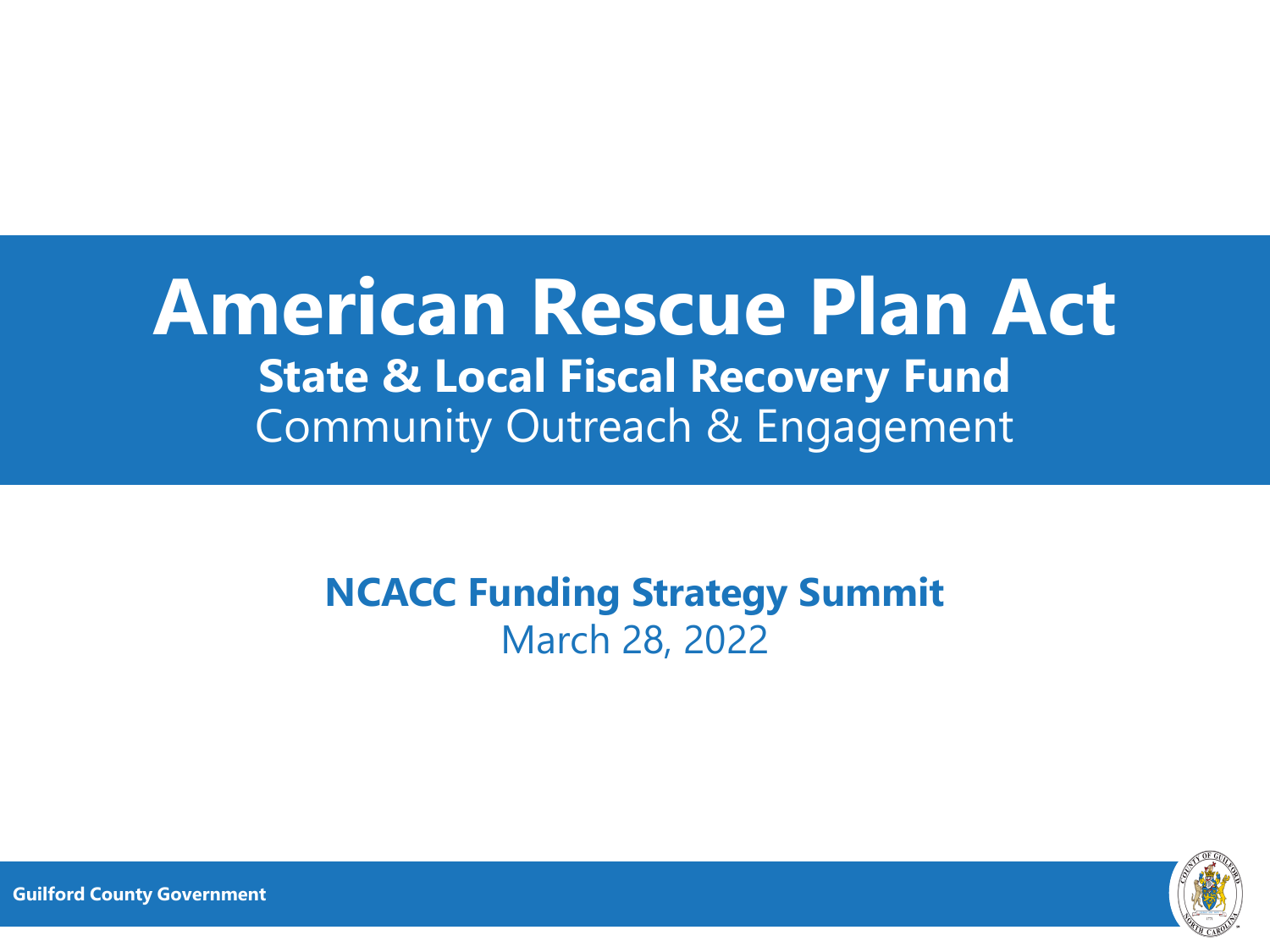#### **American Rescue Plan Act State & Local Fiscal Recovery Fund** Community Outreach & Engagement

#### **NCACC Funding Strategy Summit** March 28, 2022

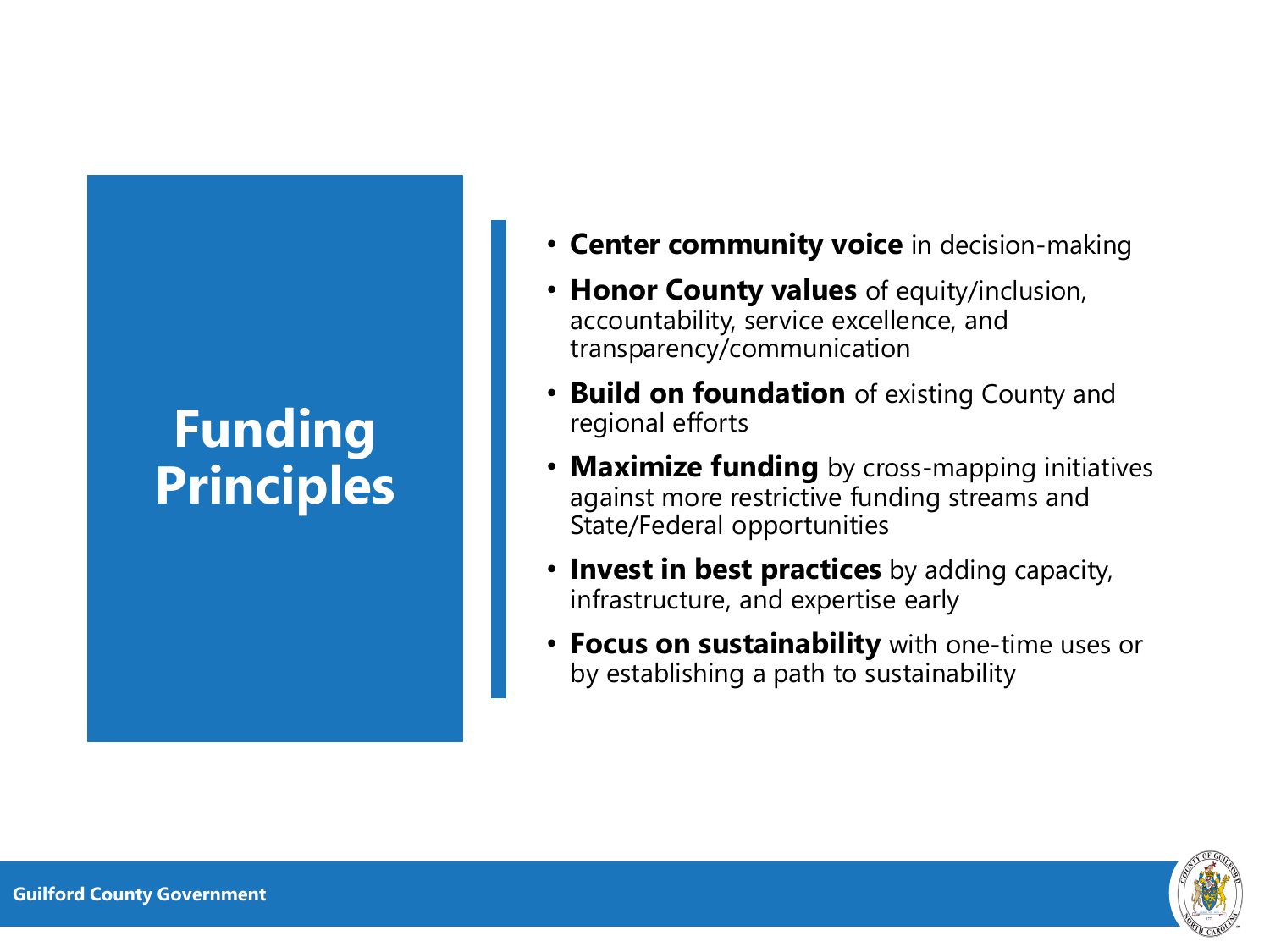#### **Funding Principles**

- **Center community voice** in decision-making
- **Honor County values** of equity/inclusion, accountability, service excellence, and transparency/communication
- **Build on foundation** of existing County and regional efforts
- **Maximize funding** by cross-mapping initiatives against more restrictive funding streams and State/Federal opportunities
- **Invest in best practices** by adding capacity, infrastructure, and expertise early
- **Focus on sustainability** with one-time uses or by establishing a path to sustainability

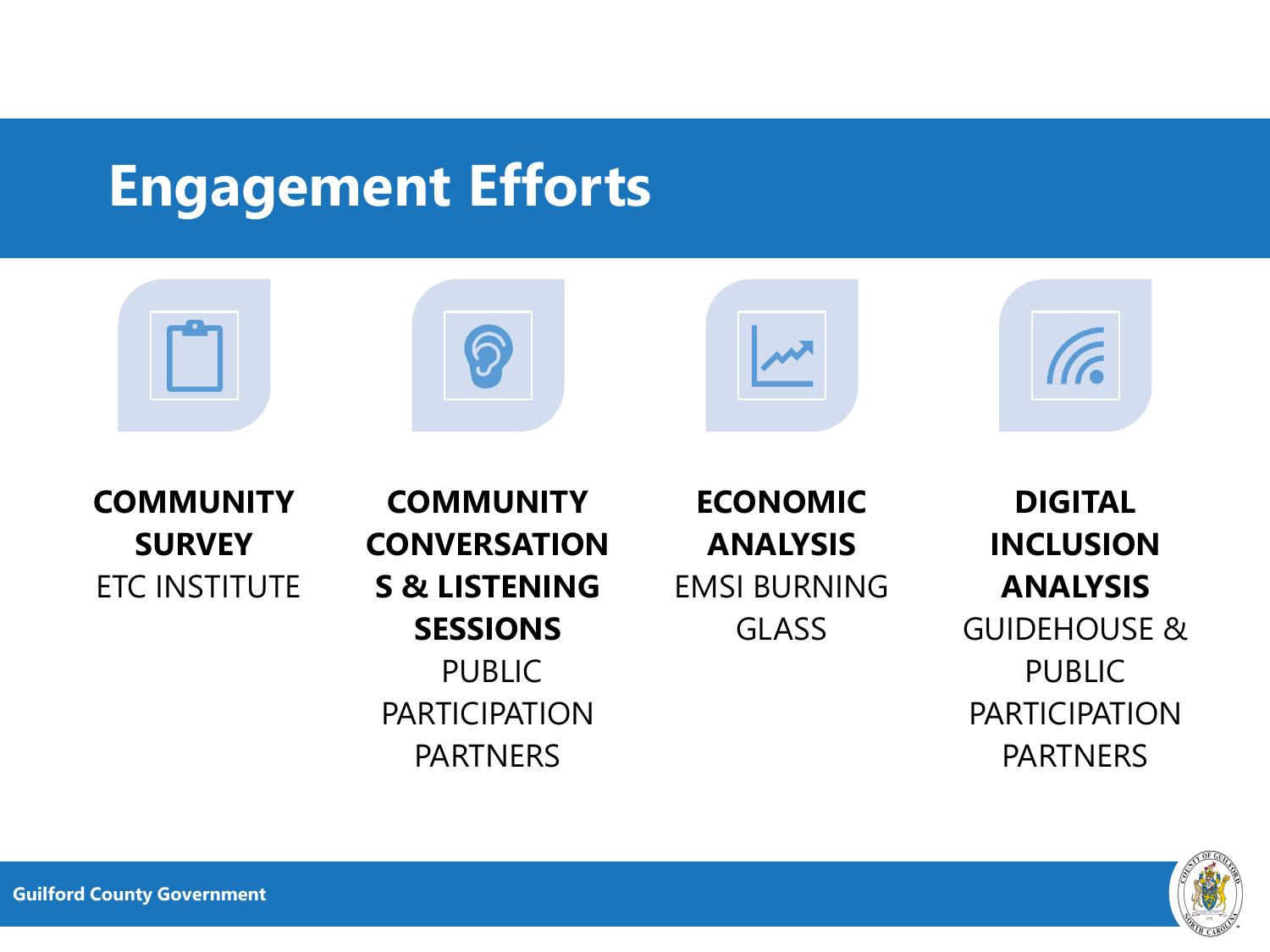#### **Engagement Efforts**



|--|--|

| 117. |  |
|------|--|
|      |  |

**COMMUNITY SURVEY** ETC INSTITUTE

**COMMUNITY CONVERSATION S & LISTENING SESSIONS**  PUBLIC **PARTICIPATION PARTNERS** 

**ECONOMIC ANALYSIS** EMSI BURNING **GLASS** 



**DIGITAL INCLUSION ANALYSIS**  GUIDEHOUSE & PUBLIC PARTICIPATION **PARTNERS**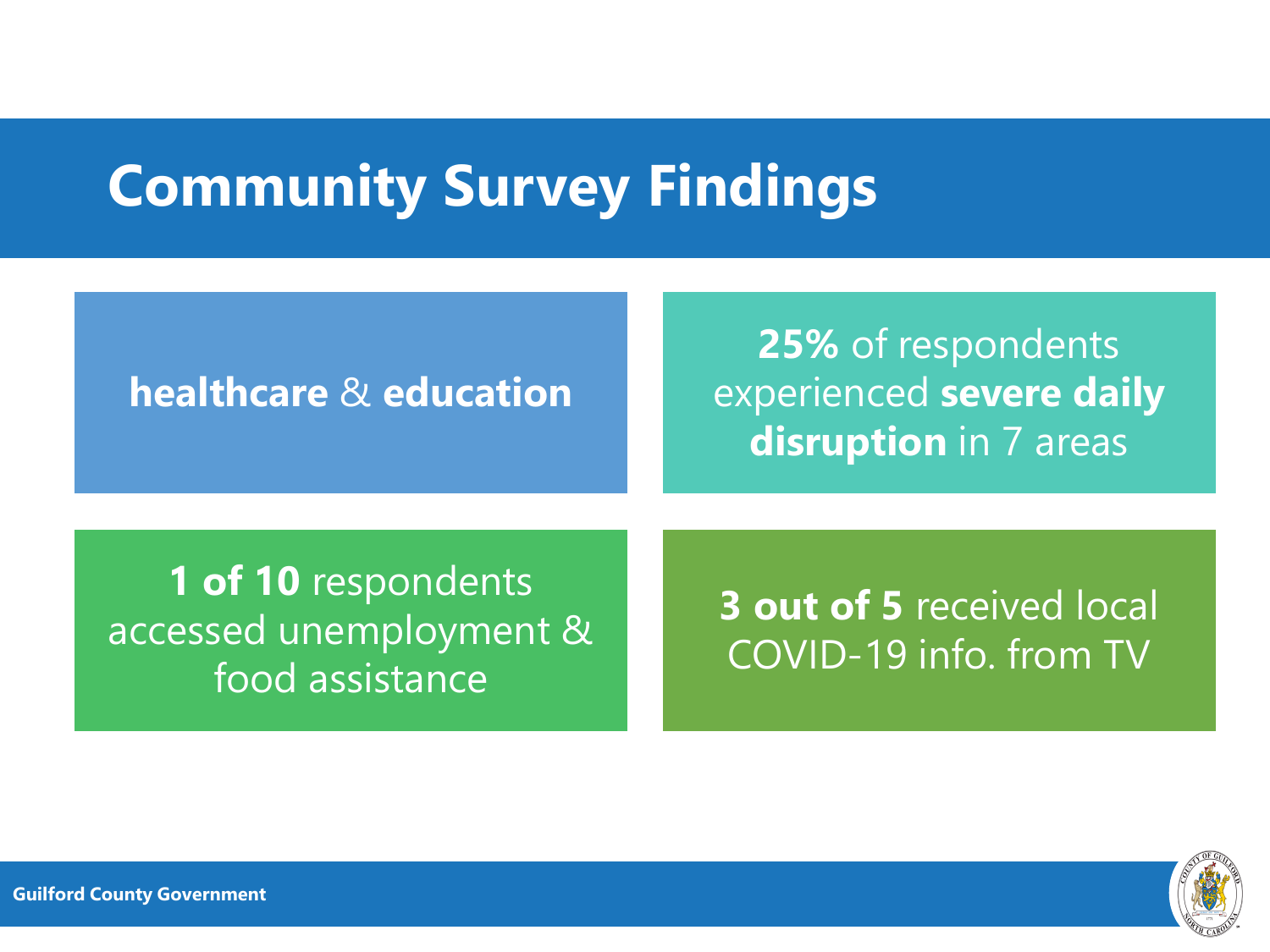### **Community Survey Findings**

#### **healthcare** & **education**

**25%** of respondents experienced **severe daily disruption** in 7 areas

**1 of 10** respondents accessed unemployment & food assistance

**3 out of 5** received local COVID-19 info. from TV

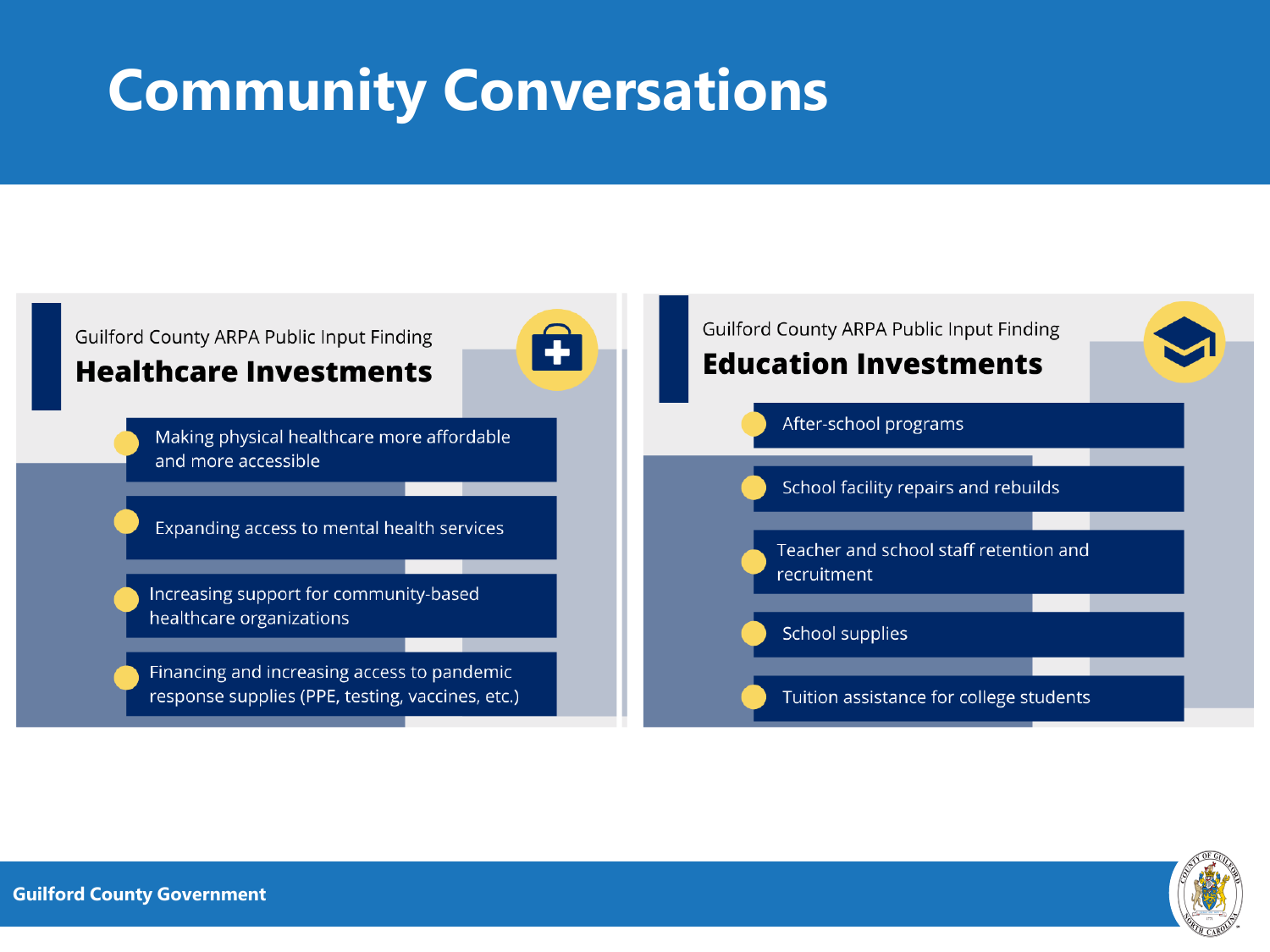### **Community Conversations**



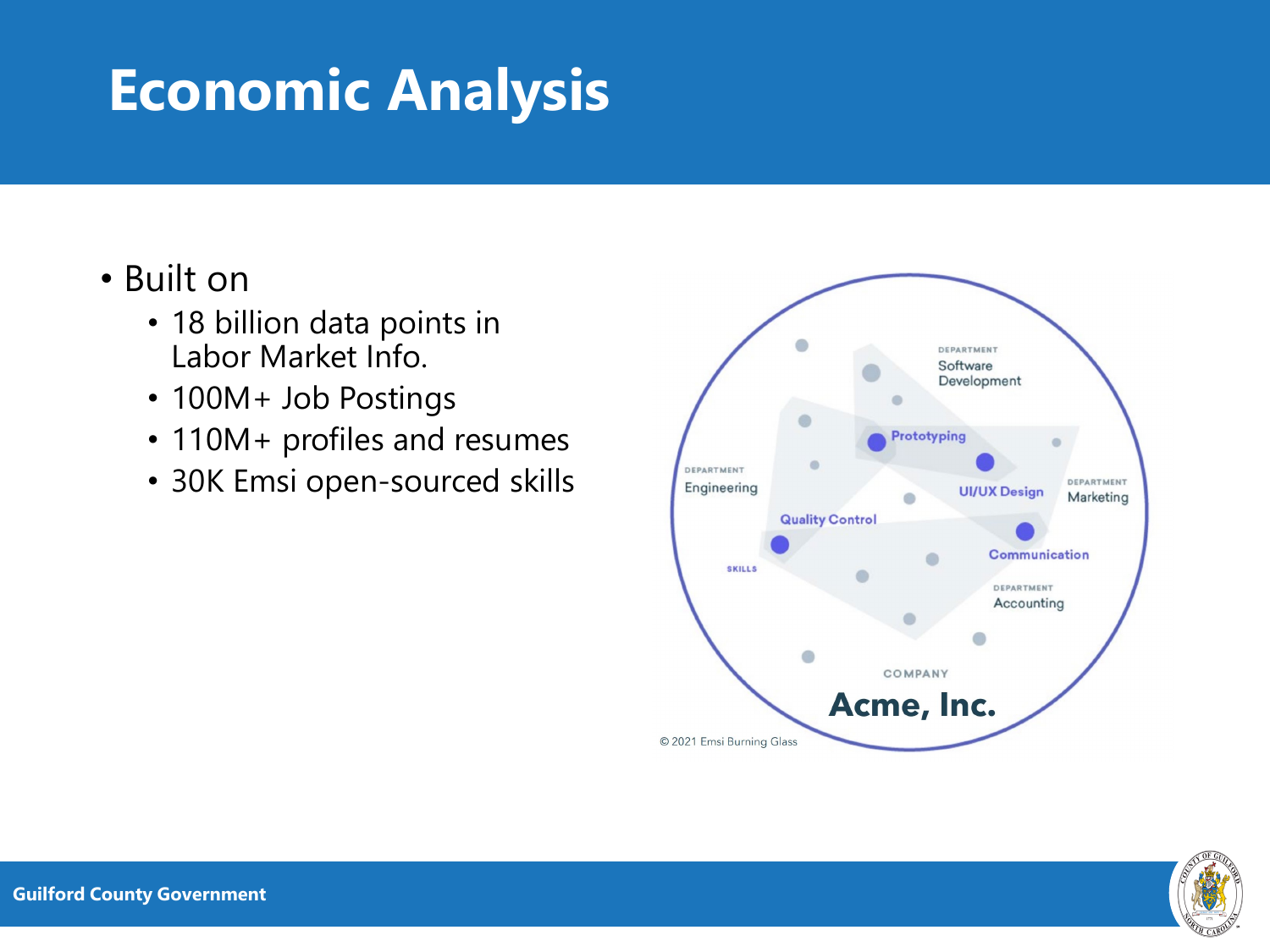### **Economic Analysis**

- Built on
	- 18 billion data points in Labor Market Info.
	- 100M+ Job Postings
	- 110M+ profiles and resumes
	- 30K Emsi open-sourced skills



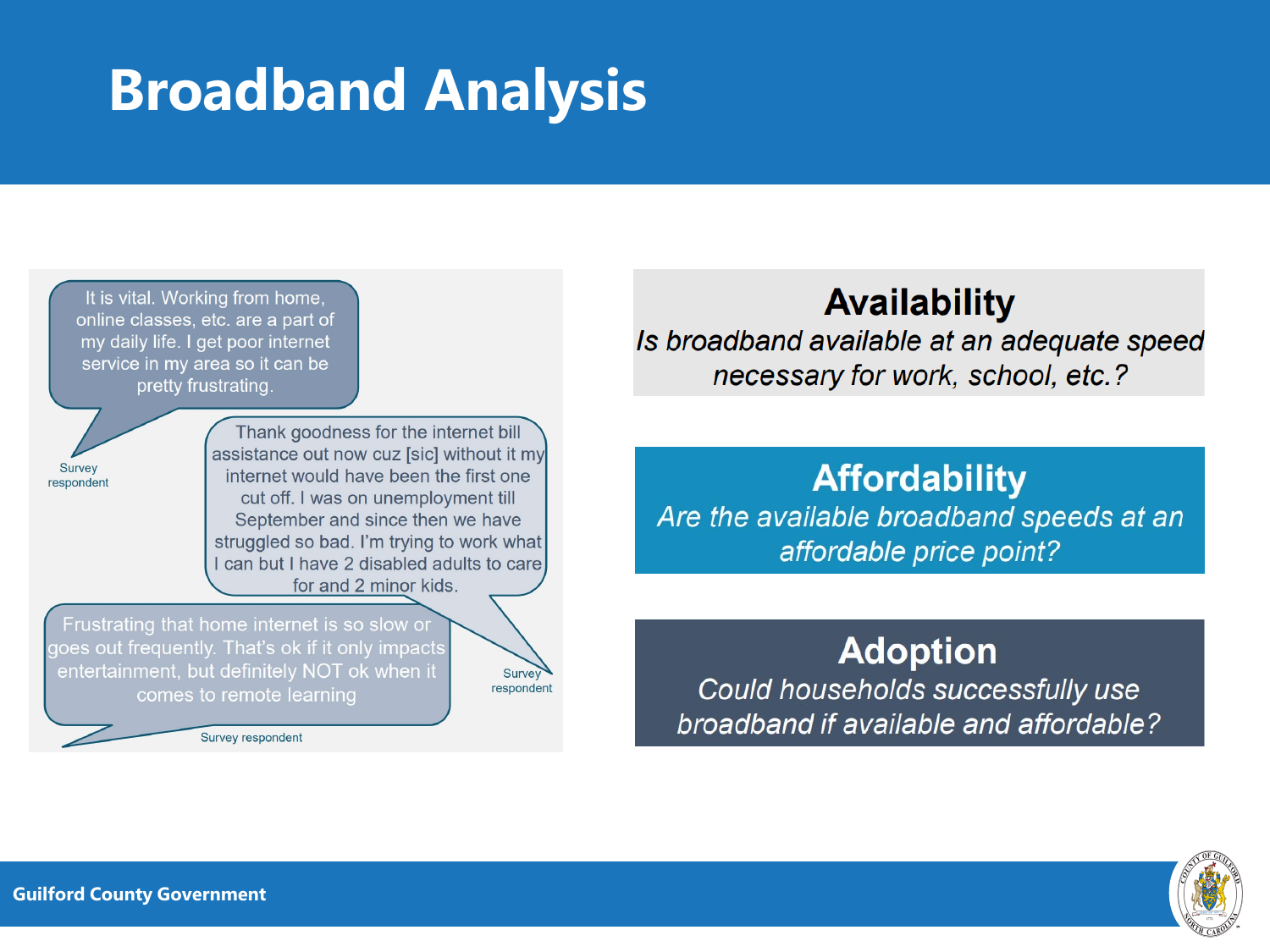### **Broadband Analysis**



Survey respondent

#### **Availability**

Is broadband available at an adequate speed necessary for work, school, etc.?

#### **Affordability**

Are the available broadband speeds at an affordable price point?

#### **Adoption**

Could households successfully use broadband if available and affordable?

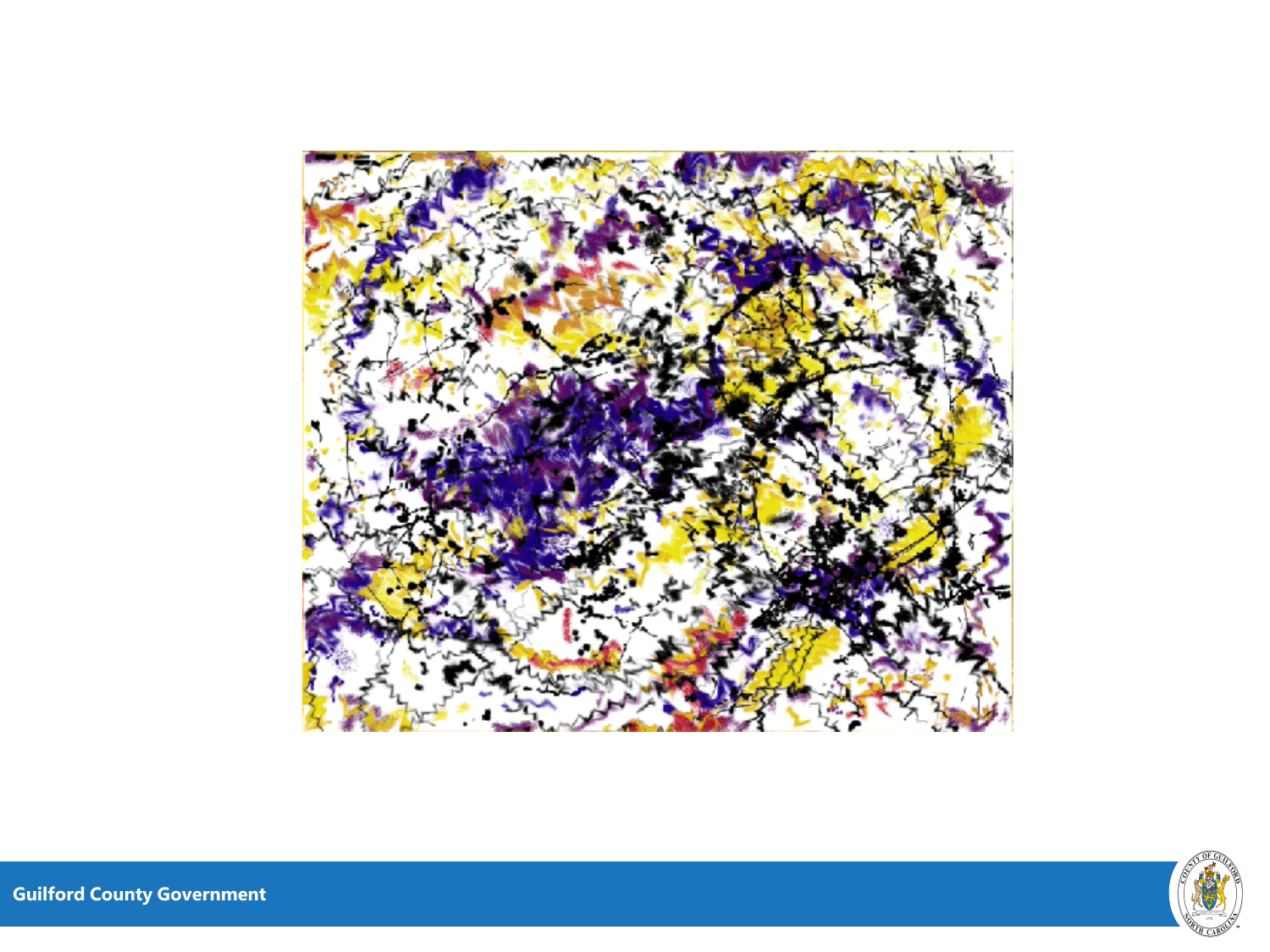

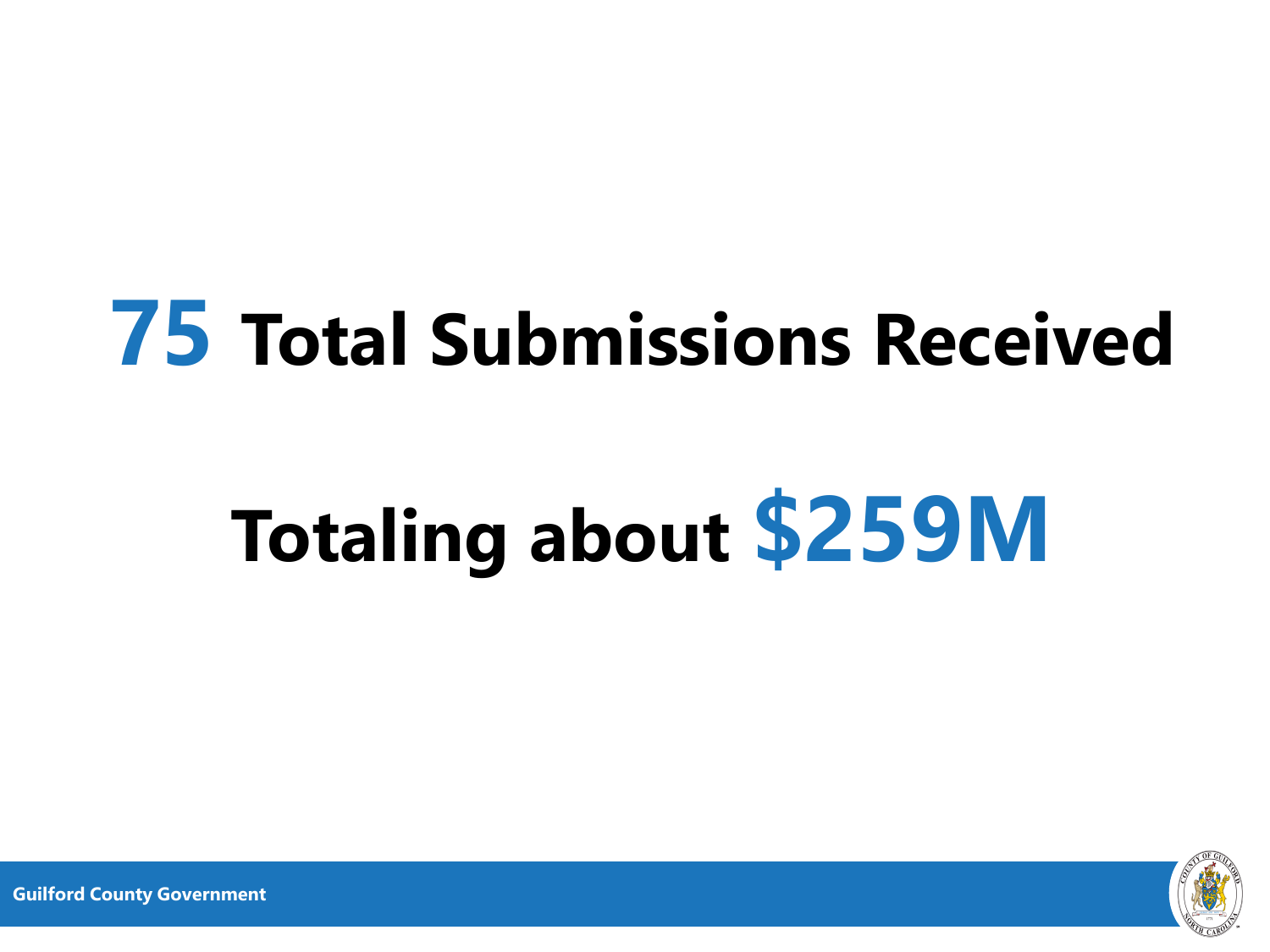## **75 Total Submissions Received**

# **Totaling about \$259M**